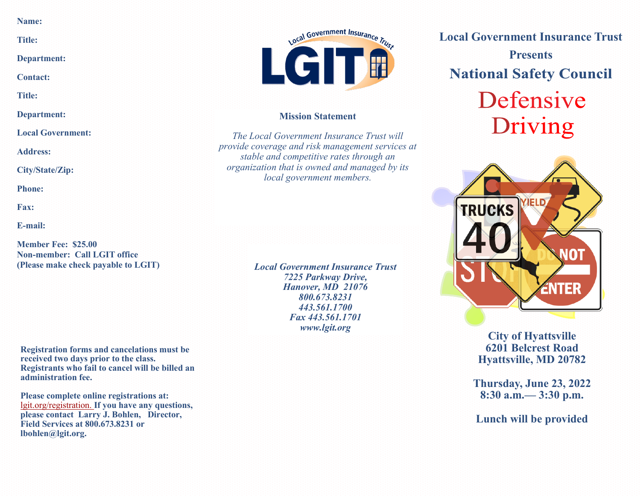**Name:**

**Title:**

**Department:**

**Contact:**

**Title:**

**Department:**

**Local Government:**

**Address:**

**City/State/Zip:**

**Phone:**

**Fax:**

**E-mail:**

**Member Fee: \$25.00 Non-member: Call LGIT office (Please make check payable to LGIT)**

**Registration forms and cancelations must be received two days prior to the class. Registrants who fail to cancel will be billed an administration fee.** 

**Please complete online registrations at:**  [lgit.org/registration.](https://www.lgit.org/FormCenter/Registration-Form-2/Training-Registration-100) **If you have any questions, please contact Larry J. Bohlen, Director, Field Services at 800.673.8231 or lbohlen@lgit.org.**



#### **Mission Statement**

*The Local Government Insurance Trust will provide coverage and risk management services at stable and competitive rates through an organization that is owned and managed by its local government members.*

> *Local Government Insurance Trust 7225 Parkway Drive, Hanover, MD 21076 800.673.8231 443.561.1700 Fax 443.561.1701 www.lgit.org*

**Local Government Insurance Trust Presents National Safety Council** Defensive Driving



### **City of Hyattsville 6201 Belcrest Road Hyattsville, MD 20782**

**Thursday, June 23, 2022 8:30 a.m.— 3:30 p.m.**

**Lunch will be provided**